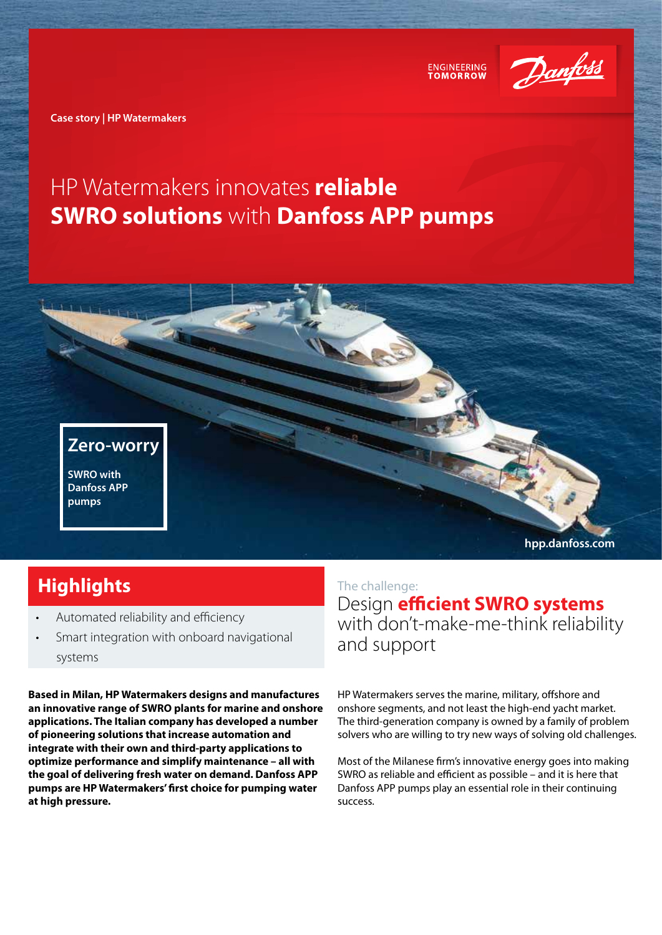

**ENGINEERING** 

**Case story | HP Watermakers**

# HP Watermakers innovates **reliable SWRO solutions** with **Danfoss APP pumps**

**Zero-worry SWRO with Danfoss APP pumps**

## **Highlights**

- Automated reliability and efficiency
- Smart integration with onboard navigational systems

**Based in Milan, HP Watermakers designs and manufactures an innovative range of SWRO plants for marine and onshore applications. The Italian company has developed a number of pioneering solutions that increase automation and integrate with their own and third-party applications to optimize performance and simplify maintenance – all with the goal of delivering fresh water on demand. Danfoss APP pumps are HP Watermakers' first choice for pumping water at high pressure.** 

**hpp.danfoss.com**

### The challenge:

Design **efficient SWRO systems** with don't-make-me-think reliability and support

HP Watermakers serves the marine, military, offshore and onshore segments, and not least the high-end yacht market. The third-generation company is owned by a family of problem solvers who are willing to try new ways of solving old challenges.

Most of the Milanese firm's innovative energy goes into making SWRO as reliable and efficient as possible – and it is here that Danfoss APP pumps play an essential role in their continuing success.